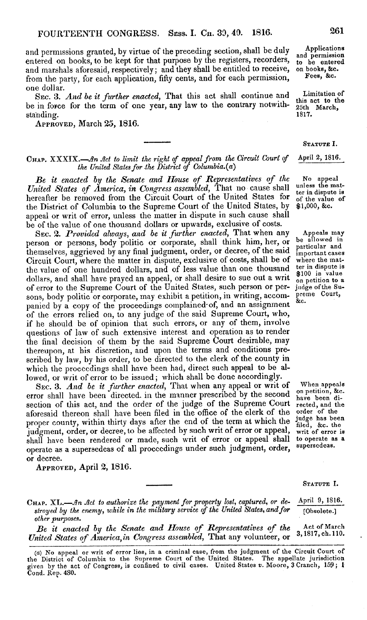and permissions granted, by virtue of the preceding section, shall be duly entered on books, to be kept for that purpose by the registers, recorders, and marshals aforesaid, respectively; and they shall be entitled to receive, from the party, for each application, fifty cents, and for each permission, one dollar.

SEC. 3. *And be it further enacted,* That this act shall continue and be in force for the term of one year, any law to the contrary notwithstanding.

**APPROVED,** March 25, 1816.

## CHAP. XXXIX.-An *Act to limit the right of appeal from the Circuit Court of the United States for .the District of Columbia.(a)*

*Be it enacted by the Senate and House of Representatives of the United States of America, in Congress assembled,* That no cause shall hereafter be removed from the Circuit Court of the United States for the District of Columbia to the Supreme Court of the United States, by appeal or writ of error, unless the matter in dispute in such cause shall be of the value of one thousand dollars or upwards, exclusive of costs.

SEC. 2. *Provided always, and be it further enacted,* That when any person or persons, body politic or corporate, shall think him, her, or themselves, aggrieved by any final judgment, order, or decree, of the said Circuit Court, where the matter in dispute, exclusive of costs, shall be of the value of one hundred dollars, and of less value than one thousand dollars, and shall have prayed an appeal, or shall desire to sue out a writ of error to the Supreme Court of the United States, such person or persons, body politic or corporate, may exhibit a petition, in writing, accompanied by a copy of the proceedings complained of, and an assignment of the errors relied on, to any judge of the said Supreme Court, who, if he should be of opinion that such errors, or any of them, involve questions of law of such extensive interest and operation as to render the final decision of them by the said Supreme Court desirable, may thereupon, at his discretion, and upon the terms and conditions prescribed by law, by his order, to be directed to the clerk of the county in which the proceedings shall have been had, direct such appeal to be allowed, or writ of error to be issued; which shall be done accordingly.

SEC. 3. *And be it further enacted,* That when any appeal or writ of error shall have been directed. in the manner prescribed by the second section of this act, and the order of the judge of the Supreme Court aforesaid thereon shall have been filed in the office of the clerk of the proper county, within thirty days after the end of the term at which the judgment, order, or decree, to be affected by such writ of error or appeal, shall have been rendered or made, such writ of error or appeal shall operate as a supersedeas of all proceedings under such judgment, order, or decree.

**APPROVED,** April 2, 1816.

Applications<br>and permission and permission to be entered on books, &c. Fees, **&c.**

Limitation of this act to the 25th March, 1817.

STATUTE I.

April 2, 1816.

No appeal unless the matter in dispute is of the value of \$1,000, &c.

Appeals may be allowed in particular and important cases where the matter in dispute is \$100 in value on petition to a judge ofthe Supreme Court, &c.

When appeals on petition, &c. have been directed, and the order of the judge has been filed, &c. the writ of error is to operate as a supersedeas.

**STATUTE I.**

CHAP. XL.—An Act to authorize the payment for property lost, captured, or de-<br>stroyed by the enemy, while in the military service of the United States, and for<br>(bisolete.) stroyed by the enemy, while in the military service of the United States, and for *other purposes.*

*Be it enacted by the Senate and House of Representatives of the* Act of March *United States of America,in Congress assembled,* That any volunteer, or 3,1817,ch.110.

**261**

<sup>(</sup>a) No appeal or writ of error lies, in a criminal case, from the judgment of the Circuit Court of the District of Columbia to the Supreme Court of the United States. The appellate jurisdiction given by the act of Congress, is confined to civil cases. United States *v.* Moore, 3 Cranch, 159; 1 Cond. Rep. 480.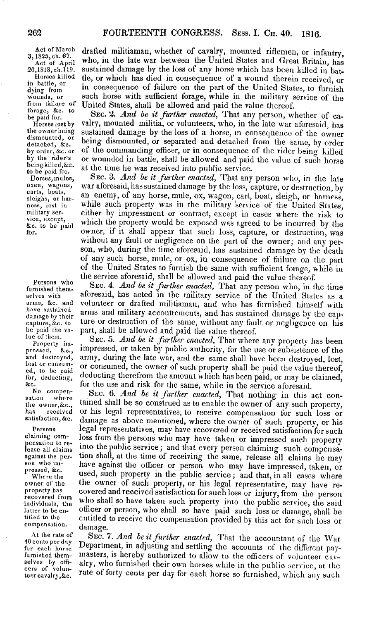dismou<br>detach

Act of March drafted militiaman, whether of cavalry, mounted riflemen, or infantry, 3, 1825, ch. 67. Mob, in the late war between the United States and Great Britain, has  $\frac{4 \times 1825}{5 \times 1000}$ , in the late war between the United States and Great Britain, has  $\frac{4 \times 1000}{20000}$  and  $\frac{4 \times 1000}{200000}$  and  $\frac{4 \times 1000}{200000}$  and  $\frac{4 \times 1000}{20000}$  and  $\frac{4 \times 1000}{20000}$  and  $\frac{$ 20,1818,ch.119. sustained damage by the loss of any horse which has been killed in bat-<br>Horses killed the or which has died in consequence of a wound therein received Horses killed the, or which has died in consequence of a wound therein received, or<br>in battle, or in consequence of follows on the part of the United States to fumily In pattle, or<br>dying from in consequence of failure on the part of the United States, to furnish<br>wounds, or such horse with sufficient forage, while in the military service of the wounds, or such horse with sufficient forage, while in the military service of the from failure of United States, shall be allowed and paid the value thereof from failure of United States, shall be allowed and paid the value thereof.<br>forage, sec. to SEC. 2. And be it further enacted, That any person, whether of ca-

be paid for. SEC. 2. *And be it further enacted*, **That any person, whether of ca-**<br>Horses lost by valry, mounted militia, or volunteers, who, in the late war aforesaid, has<br>the owner being sustained damage by the loss of the owner being sustained damage by the loss of a horse, in consequence of the owner dismounted, or home dismounted are conserted and distributed for the owner dismounted, or being dismounted, or separated and detached from the same, by order by order by order, sec. or of the commanding officer, or in consequence of the rider being killed by order, &c. or of the commanding officer, or in consequence of the rider being killed<br>by the rider's or wounded in battle, shall be allowed and paid the value of such borse by the rider's or wounded in battle, shall be allowed and paid the value of such horse<br>being killed, &c. at the time he was resolued into public service. being kines, $\infty$ . at the time he was received into public service.<br>to be paid for. SEC. 3. And be it further enacted, That any

Horses, mulos, SEC. 3. *And be it further enacted*, That any person who, in the late<br>oxen, wagons, war aforesaid, has sustained damage by the loss, capture, or destruction by oxen, wagons, war aforesaid, has sustained damage by the loss, capture, or destruction, by carts, boats, seight, or harness, sleighs, or har-<br>ness, lost in<br>ness, lost in while such property was in the military service of the United States,<br>military service of the United States,<br>ness, lost in the such property was in the military service of the U vice, except,<br>sc. to be paid which the property would be exposed was agreed to be incurred by the<br>for. over, if it shall appear that such loss, capture, or destruction, was for. owner, if it shall appear that such loss, capture, or destruction, was without any fault or negligence on the part of the owner; and any person, who, during the time aforesaid, has sustained damage by the death of any such horse, mule, or ox, in consequence of failure on the part of the United States to furnish the same with sufficient forage, while in the service aforesaid, shall be allowed and paid the value thereof.

Persons who SEC. 4. *And be it further enacted*, That any person who, in the time selves with aforesaid, has acted in the military service of the United States as a arms, &c. and volunteer or drafted militiaman, and who has furnished himself with have sustained arms and military secontroments and has mixtured duranteers. have sustained arms and military accoutrements, and has sustained damage by the cap-<br>damage by their ture or destruction of the same, without any fault or negligence on his<br>be paid the va-<br>part, shall be allowed and paid ture or destruction of the same, without any fault or negligence on his be paid the va-<br>part, shall be allowed and paid the value thereof.<br> $\frac{1}{2}$  and  $\frac{1}{2}$  for  $\frac{1}{2}$  and  $\frac{1}{2}$  for  $\frac{1}{2}$  for  $\frac{1}{2}$ .

lue of them.<br>
Property im-<br>
pressed, impressed, or taken by public authority, for the use or subsistence of the<br>
pressed, &c., impressed, or taken by public authority, for the use or subsistence of the pressed,  $\&c_{\rm c}$ , impressed, or taken by public authority, for the use or subsistence of the and destroyed, army, during the late war, and the same shall have been destroyed. lost and destroyed, army, during the late war, and the same shall have been destroyed, lost, lost or consum- or consumed, the current of such preception and the current of the current of the current of the current of the curren lost or consum-<br>ed, to be paid the value thereof,<br>for, deducting, deducting therefrom the amount which has been paid, or may be claimed, the decompon-<br>No compon-<br> $S_{\text{WCE}}$  for the use and risk for the same, while in the service aforesaid.<br> $S_{\text{WCE}}$  for the service and risk for the service and risk for the service aforesaid.

No compen-<br>sation where<br>the owner, &c., tained shall be so construed as to enable the owner of any such property, has received or his legal representatives, to receive compensation for such loss or<br>satisfaction, &c. damage as above mentioned, where the owner of such property, or his<br>Persons legal representatives, may have recovered or Persons legal representatives, may have recovered or received satisfaction for such property pensation to re-<br>lease all claims<br>against the public service; and that every person claiming such compensa-<br>against the per-<br>son who in-<br>son who inson who im-<br>pressed, &c. used, such property in the public service; and that, in all cases where<br>where the used, such property in the public service; and that, in all cases where Where the used, such property in the public service; and that, in all cases where<br>owner of the owner of such property, or his legal representative, may have re-<br>property has covered and received satisfaction for such loss recovered from who shall so have taken such property into the public service, the said<br>individuals, the officer or person, who shall so have paid such loss or damage shall be latter to be en-<br>titled to receive the componention provided by this set form. titled to the entitled to receive the compensation provided by this act for such loss or compensation. damage.

At the rate of SEC. 7. And be it further enacted, That the accountant of the War 40 cents per day Department, in adjusting and settling the accounts of the different payfor each horse Department, in adjusting and setting the accounts of the different pay-<br>furnished them-<br>nasters, is hereby authorized to allow to the officers of volunteer cav-<br>selves by officers of volun-<br>cers of voluntcercavalry,&c. rate of forty cents per day for each horse so furnished, which any such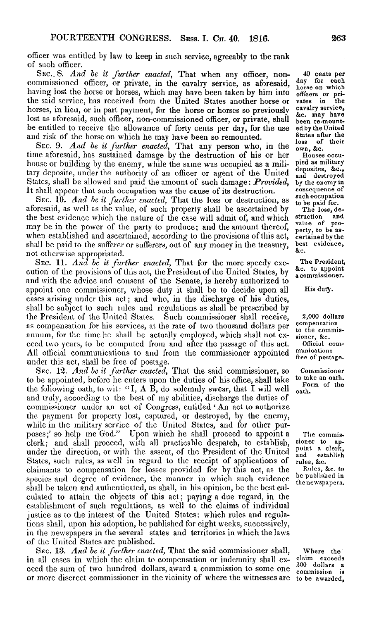officer was entitled by law to keep in such service, agreeably to the rank of such officer.

*SEC.. 8. And be it further enacted,* That when any officer, noncommissioned officer, or private, in the cavalry service, as aforesaid, having lost the horse or horses, which may have been taken by him into the said service, has received from the United States another horse or horses, in lieu, or in part payment, for the horse or horses so previously lost as aforesaid, such officer, non-commissioned officer, or private, shall be entitled to receive the allowance of forty cents per day, for the use and risk of the horse on which he may have been so remounted.

SEC. 9. *And be it further enacted,* That any person who, in the time aforesaid, has sustained damage by the destruction of his or her house or building by the enemy, while the same was occupied as a military deposite, under the authority of an officer or agent of the United States, shall be allowed and paid the amount of such damage: *Provided,* It shall appear that such occupation was the cause of its destruction.

SEC. 10. *And be it further enacted,* That the loss or destruction, as aforesaid, as well as the value, of such property shall be ascertained by the best evidence which the nature of the case will admit of, and which may be in the power of the party to produce; and the amount thereof, when established and ascertained, according to the provisions of this act, shall be paid to the sufferer or sufferers, out of any money in the treasury, not otherwise appropriated.

SEC. 11. *And be it further enacted,* That for the more speedy execution of the provisions of this act, the President of the United States, by and with the advice and consent of the Senate, is hereby authorized to appoint one commissioner, whose duty it shall be to decide upon all cases arising under this act; and who, in the discharge of his duties, shall be subject to such rules and regulations as shall be prescribed by the President of the United States. Such commissioner shall receive, as compensation for his services, at the rate of two thousand dollars per annum, for the time he shall be actually employed, which shall not exceed two years, to be computed from and after the passage of this act. All official communications to and from the commissioner appointed under this act, shall be free of postage.

SEC. 12. *And be it further enacted,* That the said commissioner, so to be appointed, before he enters upon the duties of his office, shall take the following oath, to wit: "I,  $A$  B, do solemnly swear, that I will well and truly, according to the best of my abilities, discharge the duties of commissioner under an act of Congress, entitled 'An act to authorize the payment for property lost, captured, or destroyed, by the enemy, while in the military service of the United States, and for other purposes;' so help me God." Upon which he shall proceed to appoint a clerk; and shall proceed, with all practicable despatch, to establish, under the direction, or with the assent, of the President of the United States, such rules, as well in regard to the receipt of applications of claimants to compensation for losses provided for by this act, as the species and degree of evidence, the manner in which such evidence shall be taken and authenticated, as shall, in his opinion, be the best calculated to attain the objects of this act; paying a due regard, in the establishment of such regulations, as well to the claims of individual justice as to the interest of the United States: which rules and regulations shall, upon his adoption, be published for eight weeks, successively, in the newspapers in the several states and territories in which the laws of the United States are published.

SEC. 13. *And be it further enacted,* That the said commissioner shall, in all cases in which the claim to compensation or indemnity shall exceed the sum of two hundred dollars, award a commission to some one or more discreet commissioner in the vicinity of where the witnesses are

40 cents **per** day for each horse on which **officers** or pri- vates in **the** cavalry **service,** &c. may have been re-mounted by the United States after **the** of their own, &c.

Houses occupied as military deposites, &c., and destroyed by the enemy in consequence of such occupation to be paid for.

The loss, de-<br>ruction and struction and<br>value of pro $value$  of perty, to be ascertained by the best evidence, &c.

The President,<br>&c. to appoint a commissioner.

His duty.

2,000 dollars compensation to the commissioner, &c. Official communications free of postage.

Commissioner to take an oath. Form of the oath.

The commis-<br>oner to apsioner to point a clerk, establish rules, &c.

Rules, &c. to be published in the newspapers.

Where the claim exceeds 200 dollars a commission to be awarded,